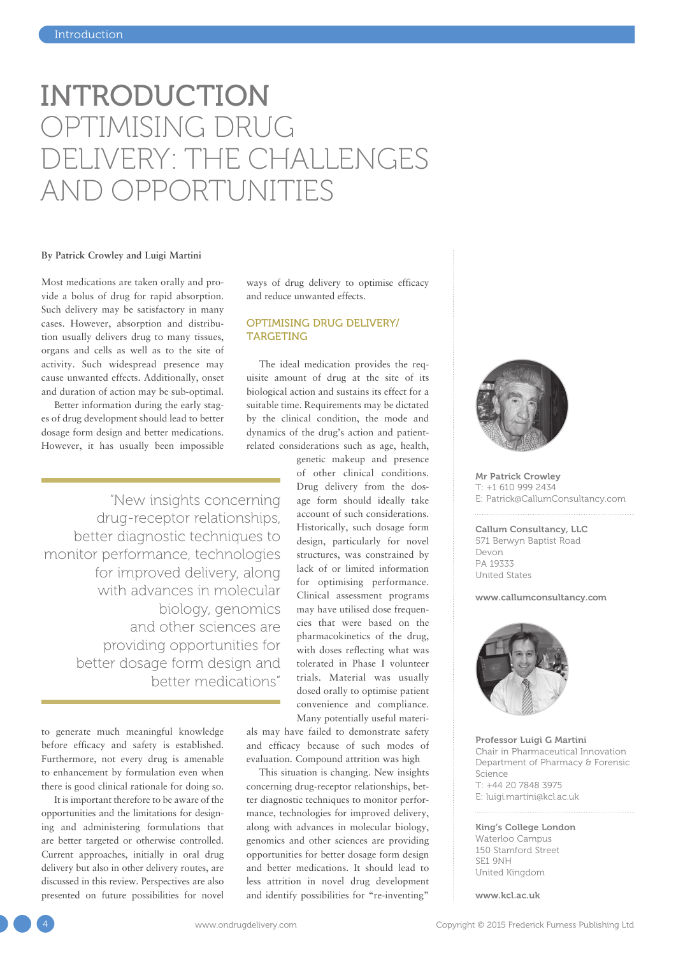# INTRODUCTION OPTIMISING DRUG DELIVERY: THE CHALLENGES AND OPPORTUNITIES

#### **By Patrick Crowley and Luigi Martini**

Most medications are taken orally and provide a bolus of drug for rapid absorption. Such delivery may be satisfactory in many cases. However, absorption and distribution usually delivers drug to many tissues, organs and cells as well as to the site of activity. Such widespread presence may cause unwanted effects. Additionally, onset and duration of action may be sub-optimal.

Better information during the early stages of drug development should lead to better dosage form design and better medications. However, it has usually been impossible

"New insights concerning drug-receptor relationships, better diagnostic techniques to monitor performance, technologies for improved delivery, along with advances in molecular biology, genomics and other sciences are providing opportunities for better dosage form design and better medications"

to generate much meaningful knowledge before efficacy and safety is established. Furthermore, not every drug is amenable to enhancement by formulation even when there is good clinical rationale for doing so.

It is important therefore to be aware of the opportunities and the limitations for designing and administering formulations that are better targeted or otherwise controlled. Current approaches, initially in oral drug delivery but also in other delivery routes, are discussed in this review. Perspectives are also presented on future possibilities for novel ways of drug delivery to optimise efficacy and reduce unwanted effects.

# OPTIMISING DRUG DELIVERY/ TARGETING

The ideal medication provides the requisite amount of drug at the site of its biological action and sustains its effect for a suitable time. Requirements may be dictated by the clinical condition, the mode and dynamics of the drug's action and patientrelated considerations such as age, health,

> genetic makeup and presence of other clinical conditions. Drug delivery from the dosage form should ideally take account of such considerations. Historically, such dosage form design, particularly for novel structures, was constrained by lack of or limited information for optimising performance. Clinical assessment programs may have utilised dose frequencies that were based on the pharmacokinetics of the drug, with doses reflecting what was tolerated in Phase I volunteer trials. Material was usually dosed orally to optimise patient convenience and compliance. Many potentially useful materi-

als may have failed to demonstrate safety and efficacy because of such modes of evaluation. Compound attrition was high

This situation is changing. New insights concerning drug-receptor relationships, better diagnostic techniques to monitor performance, technologies for improved delivery, along with advances in molecular biology, genomics and other sciences are providing opportunities for better dosage form design and better medications. It should lead to less attrition in novel drug development and identify possibilities for "re-inventing"



Mr Patrick Crowley T: +1 610 999 2434 E: Patrick@CallumConsultancy.com

Callum Consultancy, LLC 571 Berwyn Baptist Road Devon PA 19333 United States

#### www.callumconsultancy.com



Professor Luigi G Martini Chair in Pharmaceutical Innovation Department of Pharmacy & Forensic Science T: +44 20 7848 3975 E: luigi.martini@kcl.ac.uk

#### King's College London

Waterloo Campus 150 Stamford Street SE1 9NH United Kingdom

www.kcl.ac.uk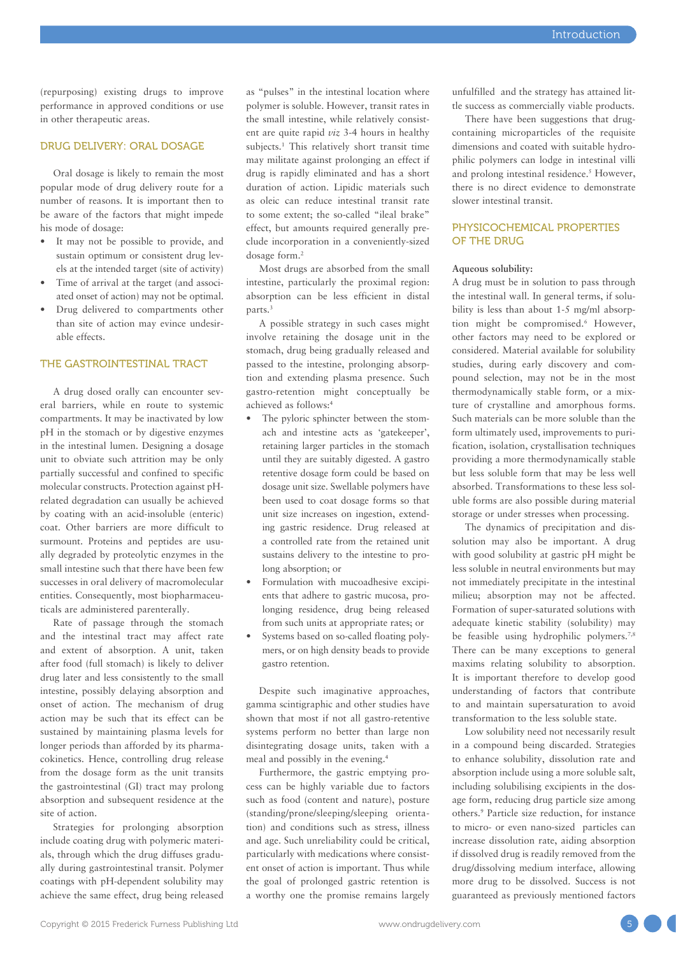(repurposing) existing drugs to improve performance in approved conditions or use in other therapeutic areas.

# DRUG DELIVERY: ORAL DOSAGE

Oral dosage is likely to remain the most popular mode of drug delivery route for a number of reasons. It is important then to be aware of the factors that might impede his mode of dosage:

- It may not be possible to provide, and sustain optimum or consistent drug levels at the intended target (site of activity)
- Time of arrival at the target (and associated onset of action) may not be optimal.
- Drug delivered to compartments other than site of action may evince undesirable effects.

#### THE GASTROINTESTINAL TRACT

A drug dosed orally can encounter several barriers, while en route to systemic compartments. It may be inactivated by low pH in the stomach or by digestive enzymes in the intestinal lumen. Designing a dosage unit to obviate such attrition may be only partially successful and confined to specific molecular constructs. Protection against pHrelated degradation can usually be achieved by coating with an acid-insoluble (enteric) coat. Other barriers are more difficult to surmount. Proteins and peptides are usually degraded by proteolytic enzymes in the small intestine such that there have been few successes in oral delivery of macromolecular entities. Consequently, most biopharmaceuticals are administered parenterally.

Rate of passage through the stomach and the intestinal tract may affect rate and extent of absorption. A unit, taken after food (full stomach) is likely to deliver drug later and less consistently to the small intestine, possibly delaying absorption and onset of action. The mechanism of drug action may be such that its effect can be sustained by maintaining plasma levels for longer periods than afforded by its pharmacokinetics. Hence, controlling drug release from the dosage form as the unit transits the gastrointestinal (GI) tract may prolong absorption and subsequent residence at the site of action.

Strategies for prolonging absorption include coating drug with polymeric materials, through which the drug diffuses gradually during gastrointestinal transit. Polymer coatings with pH-dependent solubility may achieve the same effect, drug being released as "pulses" in the intestinal location where polymer is soluble. However, transit rates in the small intestine, while relatively consistent are quite rapid *viz* 3-4 hours in healthy subjects.<sup>1</sup> This relatively short transit time may militate against prolonging an effect if drug is rapidly eliminated and has a short duration of action. Lipidic materials such as oleic can reduce intestinal transit rate to some extent; the so-called "ileal brake" effect, but amounts required generally preclude incorporation in a conveniently-sized dosage form.2

Most drugs are absorbed from the small intestine, particularly the proximal region: absorption can be less efficient in distal parts.3

A possible strategy in such cases might involve retaining the dosage unit in the stomach, drug being gradually released and passed to the intestine, prolonging absorption and extending plasma presence. Such gastro-retention might conceptually be achieved as follows:4

- The pyloric sphincter between the stomach and intestine acts as 'gatekeeper', retaining larger particles in the stomach until they are suitably digested. A gastro retentive dosage form could be based on dosage unit size. Swellable polymers have been used to coat dosage forms so that unit size increases on ingestion, extending gastric residence. Drug released at a controlled rate from the retained unit sustains delivery to the intestine to prolong absorption; or
- Formulation with mucoadhesive excipients that adhere to gastric mucosa, prolonging residence, drug being released from such units at appropriate rates; or
- Systems based on so-called floating polymers, or on high density beads to provide gastro retention.

Despite such imaginative approaches, gamma scintigraphic and other studies have shown that most if not all gastro-retentive systems perform no better than large non disintegrating dosage units, taken with a meal and possibly in the evening.4

Furthermore, the gastric emptying process can be highly variable due to factors such as food (content and nature), posture (standing/prone/sleeping/sleeping orientation) and conditions such as stress, illness and age. Such unreliability could be critical, particularly with medications where consistent onset of action is important. Thus while the goal of prolonged gastric retention is a worthy one the promise remains largely

unfulfilled and the strategy has attained little success as commercially viable products.

There have been suggestions that drugcontaining microparticles of the requisite dimensions and coated with suitable hydrophilic polymers can lodge in intestinal villi and prolong intestinal residence.<sup>5</sup> However, there is no direct evidence to demonstrate slower intestinal transit.

## PHYSICOCHEMICAL PROPERTIES OF THE DRUG

#### **Aqueous solubility:**

A drug must be in solution to pass through the intestinal wall. In general terms, if solubility is less than about 1-5 mg/ml absorption might be compromised.<sup>6</sup> However, other factors may need to be explored or considered. Material available for solubility studies, during early discovery and compound selection, may not be in the most thermodynamically stable form, or a mixture of crystalline and amorphous forms. Such materials can be more soluble than the form ultimately used, improvements to purification, isolation, crystallisation techniques providing a more thermodynamically stable but less soluble form that may be less well absorbed. Transformations to these less soluble forms are also possible during material storage or under stresses when processing.

The dynamics of precipitation and dissolution may also be important. A drug with good solubility at gastric pH might be less soluble in neutral environments but may not immediately precipitate in the intestinal milieu; absorption may not be affected. Formation of super-saturated solutions with adequate kinetic stability (solubility) may be feasible using hydrophilic polymers.<sup>7,8</sup> There can be many exceptions to general maxims relating solubility to absorption. It is important therefore to develop good understanding of factors that contribute to and maintain supersaturation to avoid transformation to the less soluble state.

Low solubility need not necessarily result in a compound being discarded. Strategies to enhance solubility, dissolution rate and absorption include using a more soluble salt, including solubilising excipients in the dosage form, reducing drug particle size among others.9 Particle size reduction, for instance to micro- or even nano-sized particles can increase dissolution rate, aiding absorption if dissolved drug is readily removed from the drug/dissolving medium interface, allowing more drug to be dissolved. Success is not guaranteed as previously mentioned factors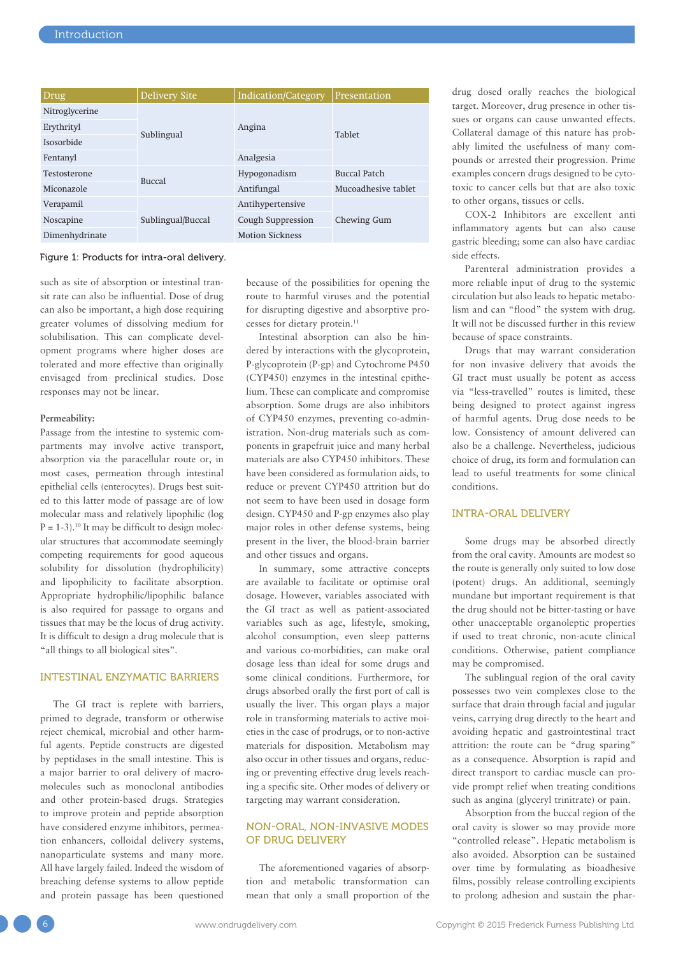| Drug           | <b>Delivery Site</b> | Indication/Category    | Presentation        |
|----------------|----------------------|------------------------|---------------------|
| Nitroglycerine | Sublingual           | Angina                 | <b>Tablet</b>       |
| Erythrityl     |                      |                        |                     |
| Isosorbide     |                      |                        |                     |
| Fentanyl       |                      | Analgesia              |                     |
| Testosterone   | <b>Buccal</b>        | Hypogonadism           | Buccal Patch        |
| Miconazole     |                      | Antifungal             | Mucoadhesive tablet |
| Verapamil      | Sublingual/Buccal    | Antihypertensive       | Chewing Gum         |
| Noscapine      |                      | Cough Suppression      |                     |
| Dimenhydrinate |                      | <b>Motion Sickness</b> |                     |

#### Figure 1: Products for intra-oral delivery.

such as site of absorption or intestinal transit rate can also be influential. Dose of drug can also be important, a high dose requiring greater volumes of dissolving medium for solubilisation. This can complicate development programs where higher doses are tolerated and more effective than originally envisaged from preclinical studies. Dose responses may not be linear.

#### **Permeability:**

Passage from the intestine to systemic compartments may involve active transport, absorption via the paracellular route or, in most cases, permeation through intestinal epithelial cells (enterocytes). Drugs best suited to this latter mode of passage are of low molecular mass and relatively lipophilic (log  $P = 1-3$ .<sup>10</sup> It may be difficult to design molecular structures that accommodate seemingly competing requirements for good aqueous solubility for dissolution (hydrophilicity) and lipophilicity to facilitate absorption. Appropriate hydrophilic/lipophilic balance is also required for passage to organs and tissues that may be the locus of drug activity. It is difficult to design a drug molecule that is "all things to all biological sites".

# INTESTINAL ENZYMATIC BARRIERS

The GI tract is replete with barriers, primed to degrade, transform or otherwise reject chemical, microbial and other harmful agents. Peptide constructs are digested by peptidases in the small intestine. This is a major barrier to oral delivery of macromolecules such as monoclonal antibodies and other protein-based drugs. Strategies to improve protein and peptide absorption have considered enzyme inhibitors, permeation enhancers, colloidal delivery systems, nanoparticulate systems and many more. All have largely failed. Indeed the wisdom of breaching defense systems to allow peptide and protein passage has been questioned because of the possibilities for opening the route to harmful viruses and the potential for disrupting digestive and absorptive processes for dietary protein.<sup>11</sup>

Intestinal absorption can also be hindered by interactions with the glycoprotein, P-glycoprotein (P-gp) and Cytochrome P450 (CYP450) enzymes in the intestinal epithelium. These can complicate and compromise absorption. Some drugs are also inhibitors of CYP450 enzymes, preventing co-administration. Non-drug materials such as components in grapefruit juice and many herbal materials are also CYP450 inhibitors. These have been considered as formulation aids, to reduce or prevent CYP450 attrition but do not seem to have been used in dosage form design. CYP450 and P-gp enzymes also play major roles in other defense systems, being present in the liver, the blood-brain barrier and other tissues and organs.

In summary, some attractive concepts are available to facilitate or optimise oral dosage. However, variables associated with the GI tract as well as patient-associated variables such as age, lifestyle, smoking, alcohol consumption, even sleep patterns and various co-morbidities, can make oral dosage less than ideal for some drugs and some clinical conditions. Furthermore, for drugs absorbed orally the first port of call is usually the liver. This organ plays a major role in transforming materials to active moieties in the case of prodrugs, or to non-active materials for disposition. Metabolism may also occur in other tissues and organs, reducing or preventing effective drug levels reaching a specific site. Other modes of delivery or targeting may warrant consideration.

# NON-ORAL, NON-INVASIVE MODES OF DRUG DELIVERY

The aforementioned vagaries of absorption and metabolic transformation can mean that only a small proportion of the drug dosed orally reaches the biological target. Moreover, drug presence in other tissues or organs can cause unwanted effects. Collateral damage of this nature has probably limited the usefulness of many compounds or arrested their progression. Prime examples concern drugs designed to be cytotoxic to cancer cells but that are also toxic to other organs, tissues or cells.

COX-2 Inhibitors are excellent anti inflammatory agents but can also cause gastric bleeding; some can also have cardiac side effects.

Parenteral administration provides a more reliable input of drug to the systemic circulation but also leads to hepatic metabolism and can "flood" the system with drug. It will not be discussed further in this review because of space constraints.

Drugs that may warrant consideration for non invasive delivery that avoids the GI tract must usually be potent as access via "less-travelled" routes is limited, these being designed to protect against ingress of harmful agents. Drug dose needs to be low. Consistency of amount delivered can also be a challenge. Nevertheless, judicious choice of drug, its form and formulation can lead to useful treatments for some clinical conditions.

#### INTRA-ORAL DELIVERY

Some drugs may be absorbed directly from the oral cavity. Amounts are modest so the route is generally only suited to low dose (potent) drugs. An additional, seemingly mundane but important requirement is that the drug should not be bitter-tasting or have other unacceptable organoleptic properties if used to treat chronic, non-acute clinical conditions. Otherwise, patient compliance may be compromised.

The sublingual region of the oral cavity possesses two vein complexes close to the surface that drain through facial and jugular veins, carrying drug directly to the heart and avoiding hepatic and gastrointestinal tract attrition: the route can be "drug sparing" as a consequence. Absorption is rapid and direct transport to cardiac muscle can provide prompt relief when treating conditions such as angina (glyceryl trinitrate) or pain.

Absorption from the buccal region of the oral cavity is slower so may provide more "controlled release". Hepatic metabolism is also avoided. Absorption can be sustained over time by formulating as bioadhesive films, possibly release controlling excipients to prolong adhesion and sustain the phar-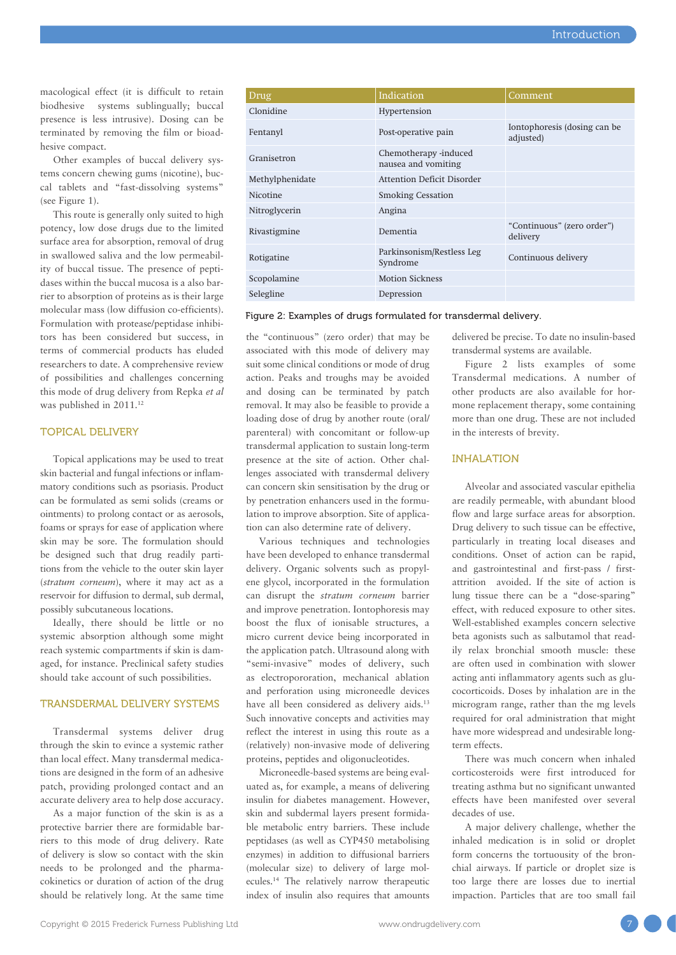macological effect (it is difficult to retain biodhesive systems sublingually; buccal presence is less intrusive). Dosing can be terminated by removing the film or bioadhesive compact.

Other examples of buccal delivery systems concern chewing gums (nicotine), buccal tablets and "fast-dissolving systems" (see Figure 1).

This route is generally only suited to high potency, low dose drugs due to the limited surface area for absorption, removal of drug in swallowed saliva and the low permeability of buccal tissue. The presence of peptidases within the buccal mucosa is a also barrier to absorption of proteins as is their large molecular mass (low diffusion co-efficients). Formulation with protease/peptidase inhibitors has been considered but success, in terms of commercial products has eluded researchers to date. A comprehensive review of possibilities and challenges concerning this mode of drug delivery from Repka *et al* was published in 2011.<sup>12</sup>

# TOPICAL DELIVERY

Topical applications may be used to treat skin bacterial and fungal infections or inflammatory conditions such as psoriasis. Product can be formulated as semi solids (creams or ointments) to prolong contact or as aerosols, foams or sprays for ease of application where skin may be sore. The formulation should be designed such that drug readily partitions from the vehicle to the outer skin layer (*stratum corneum*), where it may act as a reservoir for diffusion to dermal, sub dermal, possibly subcutaneous locations.

Ideally, there should be little or no systemic absorption although some might reach systemic compartments if skin is damaged, for instance. Preclinical safety studies should take account of such possibilities.

## TRANSDERMAL DELIVERY SYSTEMS

Transdermal systems deliver drug through the skin to evince a systemic rather than local effect. Many transdermal medications are designed in the form of an adhesive patch, providing prolonged contact and an accurate delivery area to help dose accuracy.

As a major function of the skin is as a protective barrier there are formidable barriers to this mode of drug delivery. Rate of delivery is slow so contact with the skin needs to be prolonged and the pharmacokinetics or duration of action of the drug should be relatively long. At the same time

| Drug            | Indication                                   | Comment                                   |
|-----------------|----------------------------------------------|-------------------------------------------|
| Clonidine       | Hypertension                                 |                                           |
| Fentanyl        | Post-operative pain                          | Iontophoresis (dosing can be<br>adjusted) |
| Granisetron     | Chemotherapy -induced<br>nausea and vomiting |                                           |
| Methylphenidate | <b>Attention Deficit Disorder</b>            |                                           |
| Nicotine        | <b>Smoking Cessation</b>                     |                                           |
| Nitroglycerin   | Angina                                       |                                           |
| Rivastigmine    | Dementia                                     | "Continuous" (zero order")<br>delivery    |
| Rotigatine      | Parkinsonism/Restless Leg<br>Syndrome        | Continuous delivery                       |
| Scopolamine     | <b>Motion Sickness</b>                       |                                           |
| Selegline       | Depression                                   |                                           |
|                 |                                              |                                           |

#### Figure 2: Examples of drugs formulated for transdermal delivery.

the "continuous" (zero order) that may be associated with this mode of delivery may suit some clinical conditions or mode of drug action. Peaks and troughs may be avoided and dosing can be terminated by patch removal. It may also be feasible to provide a loading dose of drug by another route (oral/ parenteral) with concomitant or follow-up transdermal application to sustain long-term presence at the site of action. Other challenges associated with transdermal delivery can concern skin sensitisation by the drug or by penetration enhancers used in the formulation to improve absorption. Site of application can also determine rate of delivery.

Various techniques and technologies have been developed to enhance transdermal delivery. Organic solvents such as propylene glycol, incorporated in the formulation can disrupt the *stratum corneum* barrier and improve penetration. Iontophoresis may boost the flux of ionisable structures, a micro current device being incorporated in the application patch. Ultrasound along with "semi-invasive" modes of delivery, such as electropororation, mechanical ablation and perforation using microneedle devices have all been considered as delivery aids.13 Such innovative concepts and activities may reflect the interest in using this route as a (relatively) non-invasive mode of delivering proteins, peptides and oligonucleotides.

Microneedle-based systems are being evaluated as, for example, a means of delivering insulin for diabetes management. However, skin and subdermal layers present formidable metabolic entry barriers. These include peptidases (as well as CYP450 metabolising enzymes) in addition to diffusional barriers (molecular size) to delivery of large molecules.14 The relatively narrow therapeutic index of insulin also requires that amounts

delivered be precise. To date no insulin-based transdermal systems are available.

Figure 2 lists examples of some Transdermal medications. A number of other products are also available for hormone replacement therapy, some containing more than one drug. These are not included in the interests of brevity.

## INHALATION

Alveolar and associated vascular epithelia are readily permeable, with abundant blood flow and large surface areas for absorption. Drug delivery to such tissue can be effective, particularly in treating local diseases and conditions. Onset of action can be rapid, and gastrointestinal and first-pass / firstattrition avoided. If the site of action is lung tissue there can be a "dose-sparing" effect, with reduced exposure to other sites. Well-established examples concern selective beta agonists such as salbutamol that readily relax bronchial smooth muscle: these are often used in combination with slower acting anti inflammatory agents such as glucocorticoids. Doses by inhalation are in the microgram range, rather than the mg levels required for oral administration that might have more widespread and undesirable longterm effects.

There was much concern when inhaled corticosteroids were first introduced for treating asthma but no significant unwanted effects have been manifested over several decades of use.

A major delivery challenge, whether the inhaled medication is in solid or droplet form concerns the tortuousity of the bronchial airways. If particle or droplet size is too large there are losses due to inertial impaction. Particles that are too small fail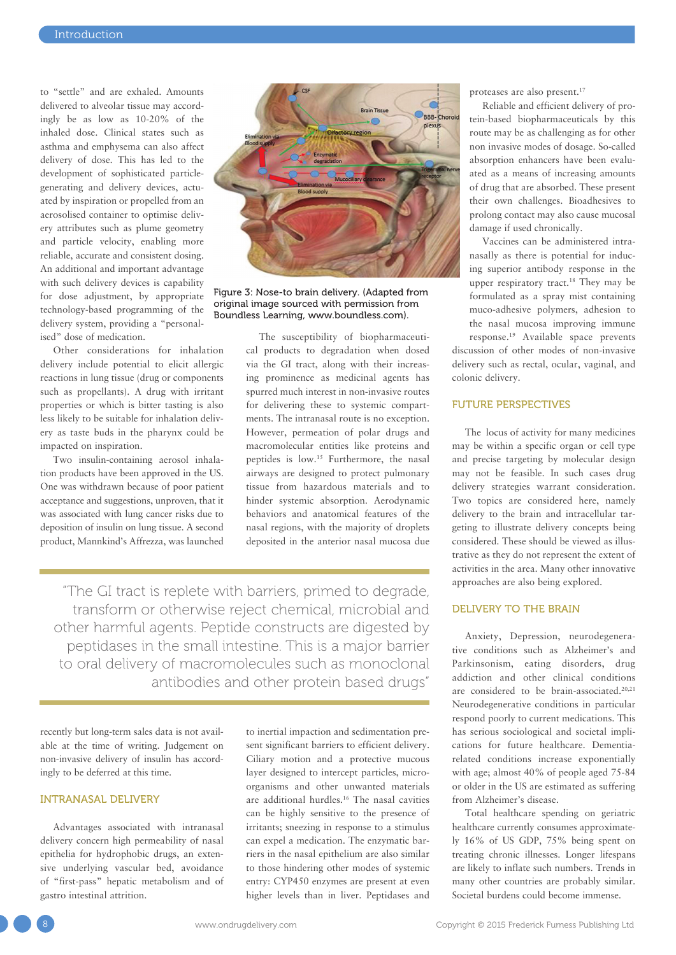to "settle" and are exhaled. Amounts delivered to alveolar tissue may accordingly be as low as 10-20% of the inhaled dose. Clinical states such as asthma and emphysema can also affect delivery of dose. This has led to the development of sophisticated particlegenerating and delivery devices, actuated by inspiration or propelled from an aerosolised container to optimise delivery attributes such as plume geometry and particle velocity, enabling more reliable, accurate and consistent dosing. An additional and important advantage with such delivery devices is capability for dose adjustment, by appropriate technology-based programming of the delivery system, providing a "personalised" dose of medication.

Other considerations for inhalation delivery include potential to elicit allergic reactions in lung tissue (drug or components such as propellants). A drug with irritant properties or which is bitter tasting is also less likely to be suitable for inhalation delivery as taste buds in the pharynx could be impacted on inspiration.

Two insulin-containing aerosol inhalation products have been approved in the US. One was withdrawn because of poor patient acceptance and suggestions, unproven, that it was associated with lung cancer risks due to deposition of insulin on lung tissue. A second product, Mannkind's Affrezza, was launched



Figure 3: Nose-to brain delivery. (Adapted from original image sourced with permission from Boundless Learning, www.boundless.com).

The susceptibility of biopharmaceutical products to degradation when dosed via the GI tract, along with their increasing prominence as medicinal agents has spurred much interest in non-invasive routes for delivering these to systemic compartments. The intranasal route is no exception. However, permeation of polar drugs and macromolecular entities like proteins and peptides is low.15 Furthermore, the nasal airways are designed to protect pulmonary tissue from hazardous materials and to hinder systemic absorption. Aerodynamic behaviors and anatomical features of the nasal regions, with the majority of droplets deposited in the anterior nasal mucosa due

"The GI tract is replete with barriers, primed to degrade, transform or otherwise reject chemical, microbial and other harmful agents. Peptide constructs are digested by peptidases in the small intestine. This is a major barrier to oral delivery of macromolecules such as monoclonal antibodies and other protein based drugs"

recently but long-term sales data is not available at the time of writing. Judgement on non-invasive delivery of insulin has accordingly to be deferred at this time.

## INTRANASAL DELIVERY

Advantages associated with intranasal delivery concern high permeability of nasal epithelia for hydrophobic drugs, an extensive underlying vascular bed, avoidance of "first-pass" hepatic metabolism and of gastro intestinal attrition.

to inertial impaction and sedimentation present significant barriers to efficient delivery. Ciliary motion and a protective mucous layer designed to intercept particles, microorganisms and other unwanted materials are additional hurdles.16 The nasal cavities can be highly sensitive to the presence of irritants; sneezing in response to a stimulus can expel a medication. The enzymatic barriers in the nasal epithelium are also similar to those hindering other modes of systemic entry: CYP450 enzymes are present at even higher levels than in liver. Peptidases and

proteases are also present.17

Reliable and efficient delivery of protein-based biopharmaceuticals by this route may be as challenging as for other non invasive modes of dosage. So-called absorption enhancers have been evaluated as a means of increasing amounts of drug that are absorbed. These present their own challenges. Bioadhesives to prolong contact may also cause mucosal damage if used chronically.

Vaccines can be administered intranasally as there is potential for inducing superior antibody response in the upper respiratory tract.18 They may be formulated as a spray mist containing muco-adhesive polymers, adhesion to the nasal mucosa improving immune response.19 Available space prevents

discussion of other modes of non-invasive delivery such as rectal, ocular, vaginal, and colonic delivery.

# FUTURE PERSPECTIVES

The locus of activity for many medicines may be within a specific organ or cell type and precise targeting by molecular design may not be feasible. In such cases drug delivery strategies warrant consideration. Two topics are considered here, namely delivery to the brain and intracellular targeting to illustrate delivery concepts being considered. These should be viewed as illustrative as they do not represent the extent of activities in the area. Many other innovative approaches are also being explored.

#### DELIVERY TO THE BRAIN

Anxiety, Depression, neurodegenerative conditions such as Alzheimer's and Parkinsonism, eating disorders, drug addiction and other clinical conditions are considered to be brain-associated.20,21 Neurodegenerative conditions in particular respond poorly to current medications. This has serious sociological and societal implications for future healthcare. Dementiarelated conditions increase exponentially with age; almost 40% of people aged 75-84 or older in the US are estimated as suffering from Alzheimer's disease.

Total healthcare spending on geriatric healthcare currently consumes approximately 16% of US GDP, 75% being spent on treating chronic illnesses. Longer lifespans are likely to inflate such numbers. Trends in many other countries are probably similar. Societal burdens could become immense.

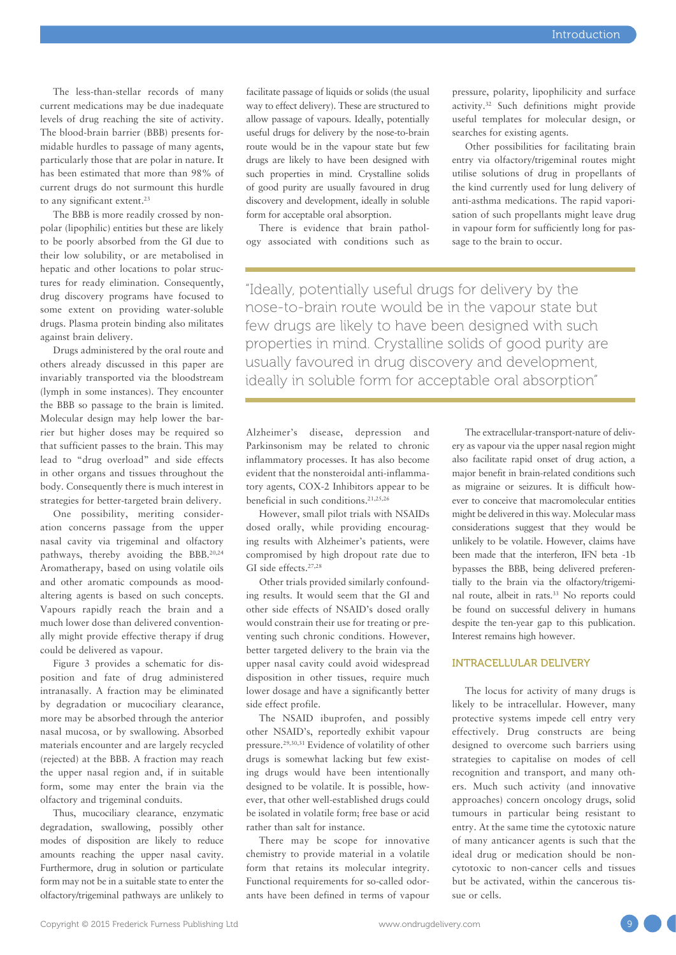The less-than-stellar records of many current medications may be due inadequate levels of drug reaching the site of activity. The blood-brain barrier (BBB) presents formidable hurdles to passage of many agents, particularly those that are polar in nature. It has been estimated that more than 98% of current drugs do not surmount this hurdle to any significant extent.<sup>23</sup>

The BBB is more readily crossed by nonpolar (lipophilic) entities but these are likely to be poorly absorbed from the GI due to their low solubility, or are metabolised in hepatic and other locations to polar structures for ready elimination. Consequently, drug discovery programs have focused to some extent on providing water-soluble drugs. Plasma protein binding also militates against brain delivery.

Drugs administered by the oral route and others already discussed in this paper are invariably transported via the bloodstream (lymph in some instances). They encounter the BBB so passage to the brain is limited. Molecular design may help lower the barrier but higher doses may be required so that sufficient passes to the brain. This may lead to "drug overload" and side effects in other organs and tissues throughout the body. Consequently there is much interest in strategies for better-targeted brain delivery.

One possibility, meriting consideration concerns passage from the upper nasal cavity via trigeminal and olfactory pathways, thereby avoiding the BBB.20,24 Aromatherapy, based on using volatile oils and other aromatic compounds as moodaltering agents is based on such concepts. Vapours rapidly reach the brain and a much lower dose than delivered conventionally might provide effective therapy if drug could be delivered as vapour.

Figure 3 provides a schematic for disposition and fate of drug administered intranasally. A fraction may be eliminated by degradation or mucociliary clearance, more may be absorbed through the anterior nasal mucosa, or by swallowing. Absorbed materials encounter and are largely recycled (rejected) at the BBB. A fraction may reach the upper nasal region and, if in suitable form, some may enter the brain via the olfactory and trigeminal conduits.

Thus, mucociliary clearance, enzymatic degradation, swallowing, possibly other modes of disposition are likely to reduce amounts reaching the upper nasal cavity. Furthermore, drug in solution or particulate form may not be in a suitable state to enter the olfactory/trigeminal pathways are unlikely to facilitate passage of liquids or solids (the usual way to effect delivery). These are structured to allow passage of vapours. Ideally, potentially useful drugs for delivery by the nose-to-brain route would be in the vapour state but few drugs are likely to have been designed with such properties in mind. Crystalline solids of good purity are usually favoured in drug discovery and development, ideally in soluble form for acceptable oral absorption.

There is evidence that brain pathology associated with conditions such as pressure, polarity, lipophilicity and surface activity.32 Such definitions might provide useful templates for molecular design, or searches for existing agents.

Other possibilities for facilitating brain entry via olfactory/trigeminal routes might utilise solutions of drug in propellants of the kind currently used for lung delivery of anti-asthma medications. The rapid vaporisation of such propellants might leave drug in vapour form for sufficiently long for passage to the brain to occur.

"Ideally, potentially useful drugs for delivery by the nose-to-brain route would be in the vapour state but few drugs are likely to have been designed with such properties in mind. Crystalline solids of good purity are usually favoured in drug discovery and development, ideally in soluble form for acceptable oral absorption"

Alzheimer's disease, depression and Parkinsonism may be related to chronic inflammatory processes. It has also become evident that the nonsteroidal anti-inflammatory agents, COX-2 Inhibitors appear to be beneficial in such conditions.<sup>21,25,26</sup>

However, small pilot trials with NSAIDs dosed orally, while providing encouraging results with Alzheimer's patients, were compromised by high dropout rate due to GI side effects.27,28

Other trials provided similarly confounding results. It would seem that the GI and other side effects of NSAID's dosed orally would constrain their use for treating or preventing such chronic conditions. However, better targeted delivery to the brain via the upper nasal cavity could avoid widespread disposition in other tissues, require much lower dosage and have a significantly better side effect profile.

The NSAID ibuprofen, and possibly other NSAID's, reportedly exhibit vapour pressure.29,30,31 Evidence of volatility of other drugs is somewhat lacking but few existing drugs would have been intentionally designed to be volatile. It is possible, however, that other well-established drugs could be isolated in volatile form; free base or acid rather than salt for instance.

There may be scope for innovative chemistry to provide material in a volatile form that retains its molecular integrity. Functional requirements for so-called odorants have been defined in terms of vapour

The extracellular-transport-nature of delivery as vapour via the upper nasal region might also facilitate rapid onset of drug action, a major benefit in brain-related conditions such as migraine or seizures. It is difficult however to conceive that macromolecular entities might be delivered in this way. Molecular mass considerations suggest that they would be unlikely to be volatile. However, claims have been made that the interferon, IFN beta -1b bypasses the BBB, being delivered preferentially to the brain via the olfactory/trigeminal route, albeit in rats.33 No reports could be found on successful delivery in humans despite the ten-year gap to this publication. Interest remains high however.

## INTRACELLULAR DELIVERY

The locus for activity of many drugs is likely to be intracellular. However, many protective systems impede cell entry very effectively. Drug constructs are being designed to overcome such barriers using strategies to capitalise on modes of cell recognition and transport, and many others. Much such activity (and innovative approaches) concern oncology drugs, solid tumours in particular being resistant to entry. At the same time the cytotoxic nature of many anticancer agents is such that the ideal drug or medication should be noncytotoxic to non-cancer cells and tissues but be activated, within the cancerous tissue or cells.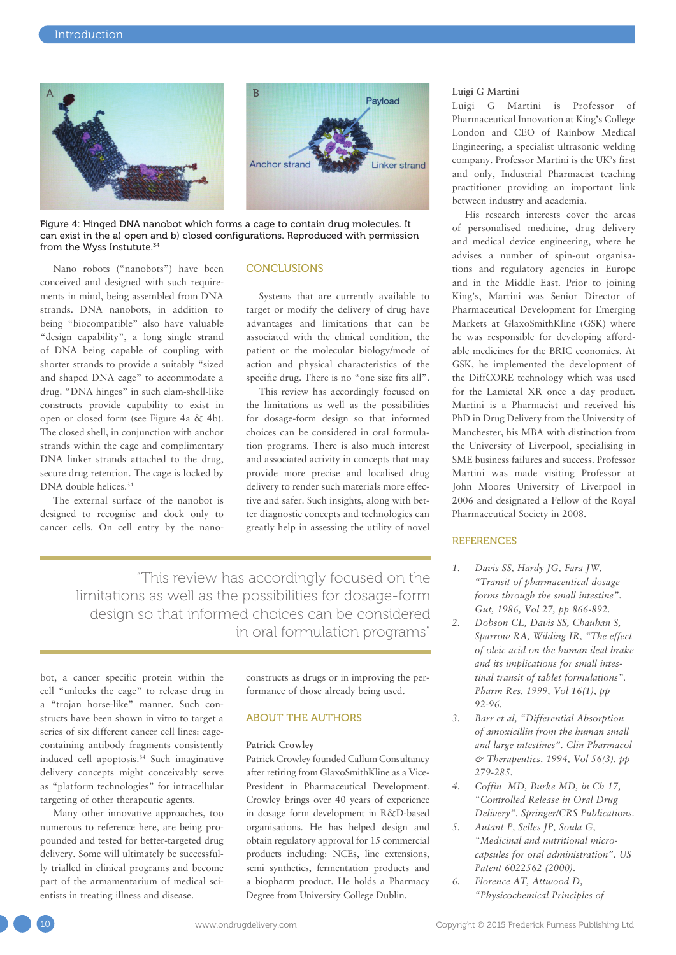

Figure 4: Hinged DNA nanobot which forms a cage to contain drug molecules. It can exist in the a) open and b) closed configurations. Reproduced with permission from the Wyss Instutute.34

Nano robots ("nanobots") have been conceived and designed with such requirements in mind, being assembled from DNA strands. DNA nanobots, in addition to being "biocompatible" also have valuable "design capability", a long single strand of DNA being capable of coupling with shorter strands to provide a suitably "sized and shaped DNA cage" to accommodate a drug. "DNA hinges" in such clam-shell-like constructs provide capability to exist in open or closed form (see Figure 4a & 4b). The closed shell, in conjunction with anchor strands within the cage and complimentary DNA linker strands attached to the drug, secure drug retention. The cage is locked by DNA double helices.<sup>34</sup>

The external surface of the nanobot is designed to recognise and dock only to cancer cells. On cell entry by the nano-

## **CONCLUSIONS**

Systems that are currently available to target or modify the delivery of drug have advantages and limitations that can be associated with the clinical condition, the patient or the molecular biology/mode of action and physical characteristics of the specific drug. There is no "one size fits all".

This review has accordingly focused on the limitations as well as the possibilities for dosage-form design so that informed choices can be considered in oral formulation programs. There is also much interest and associated activity in concepts that may provide more precise and localised drug delivery to render such materials more effective and safer. Such insights, along with better diagnostic concepts and technologies can greatly help in assessing the utility of novel

"This review has accordingly focused on the limitations as well as the possibilities for dosage-form design so that informed choices can be considered in oral formulation programs"

bot, a cancer specific protein within the cell "unlocks the cage" to release drug in a "trojan horse-like" manner. Such constructs have been shown in vitro to target a series of six different cancer cell lines: cagecontaining antibody fragments consistently induced cell apoptosis.<sup>34</sup> Such imaginative delivery concepts might conceivably serve as "platform technologies" for intracellular targeting of other therapeutic agents.

Many other innovative approaches, too numerous to reference here, are being propounded and tested for better-targeted drug delivery. Some will ultimately be successfully trialled in clinical programs and become part of the armamentarium of medical scientists in treating illness and disease.

constructs as drugs or in improving the performance of those already being used.

## ABOUT THE AUTHORS

#### **Patrick Crowley**

Patrick Crowley founded Callum Consultancy after retiring from GlaxoSmithKline as a Vice-President in Pharmaceutical Development. Crowley brings over 40 years of experience in dosage form development in R&D-based organisations. He has helped design and obtain regulatory approval for 15 commercial products including: NCEs, line extensions, semi synthetics, fermentation products and a biopharm product. He holds a Pharmacy Degree from University College Dublin.

#### **Luigi G Martini**

Luigi G Martini is Professor of Pharmaceutical Innovation at King's College London and CEO of Rainbow Medical Engineering, a specialist ultrasonic welding company. Professor Martini is the UK's first and only, Industrial Pharmacist teaching practitioner providing an important link between industry and academia.

His research interests cover the areas of personalised medicine, drug delivery and medical device engineering, where he advises a number of spin-out organisations and regulatory agencies in Europe and in the Middle East. Prior to joining King's, Martini was Senior Director of Pharmaceutical Development for Emerging Markets at GlaxoSmithKline (GSK) where he was responsible for developing affordable medicines for the BRIC economies. At GSK, he implemented the development of the DiffCORE technology which was used for the Lamictal XR once a day product. Martini is a Pharmacist and received his PhD in Drug Delivery from the University of Manchester, his MBA with distinction from the University of Liverpool, specialising in SME business failures and success. Professor Martini was made visiting Professor at John Moores University of Liverpool in 2006 and designated a Fellow of the Royal Pharmaceutical Society in 2008.

# **REFERENCES**

- *1. Davis SS, Hardy JG, Fara JW, "Transit of pharmaceutical dosage forms through the small intestine". Gut, 1986, Vol 27, pp 866-892.*
- *2. Dobson CL, Davis SS, Chauhan S, Sparrow RA, Wilding IR, "The effect of oleic acid on the human ileal brake and its implications for small intestinal transit of tablet formulations". Pharm Res, 1999, Vol 16(1), pp 92-96.*
- *3. Barr et al, "Differential Absorption of amoxicillin from the human small and large intestines". Clin Pharmacol & Therapeutics, 1994, Vol 56(3), pp 279-285.*
- *4. Coffin MD, Burke MD, in Ch 17, "Controlled Release in Oral Drug Delivery". Springer/CRS Publications.*
- *5. Autant P, Selles JP, Soula G, "Medicinal and nutritional microcapsules for oral administration". US Patent 6022562 (2000).*
- *6. Florence AT, Attwood D, "Physicochemical Principles of*